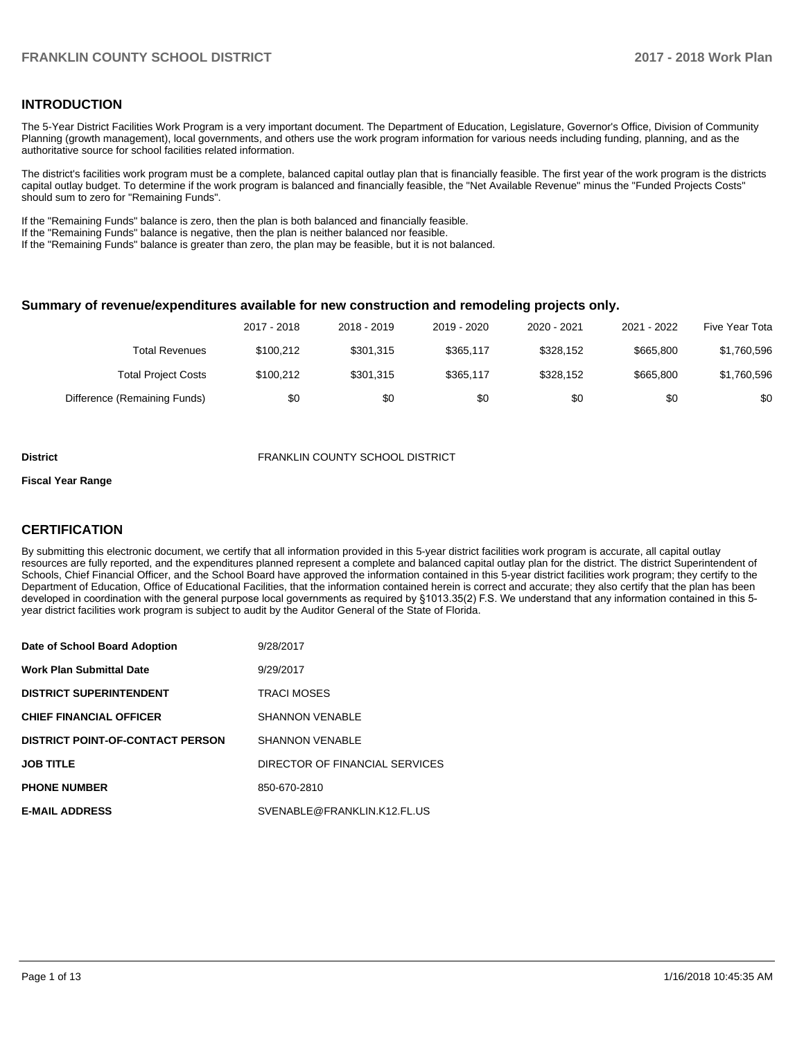## **INTRODUCTION**

The 5-Year District Facilities Work Program is a very important document. The Department of Education, Legislature, Governor's Office, Division of Community Planning (growth management), local governments, and others use the work program information for various needs including funding, planning, and as the authoritative source for school facilities related information.

The district's facilities work program must be a complete, balanced capital outlay plan that is financially feasible. The first year of the work program is the districts capital outlay budget. To determine if the work program is balanced and financially feasible, the "Net Available Revenue" minus the "Funded Projects Costs" should sum to zero for "Remaining Funds".

If the "Remaining Funds" balance is zero, then the plan is both balanced and financially feasible.

If the "Remaining Funds" balance is negative, then the plan is neither balanced nor feasible.

If the "Remaining Funds" balance is greater than zero, the plan may be feasible, but it is not balanced.

#### **Summary of revenue/expenditures available for new construction and remodeling projects only.**

| Five Year Tota | 2021 - 2022 | 2020 - 2021 | 2019 - 2020 | 2018 - 2019 | 2017 - 2018 |                              |
|----------------|-------------|-------------|-------------|-------------|-------------|------------------------------|
| \$1,760,596    | \$665,800   | \$328.152   | \$365.117   | \$301.315   | \$100.212   | Total Revenues               |
| \$1,760,596    | \$665,800   | \$328.152   | \$365.117   | \$301.315   | \$100.212   | <b>Total Project Costs</b>   |
| \$0            | \$0         | \$0         | \$0         | \$0         | \$0         | Difference (Remaining Funds) |

#### **District** FRANKLIN COUNTY SCHOOL DISTRICT

#### **Fiscal Year Range**

# **CERTIFICATION**

By submitting this electronic document, we certify that all information provided in this 5-year district facilities work program is accurate, all capital outlay resources are fully reported, and the expenditures planned represent a complete and balanced capital outlay plan for the district. The district Superintendent of Schools, Chief Financial Officer, and the School Board have approved the information contained in this 5-year district facilities work program; they certify to the Department of Education, Office of Educational Facilities, that the information contained herein is correct and accurate; they also certify that the plan has been developed in coordination with the general purpose local governments as required by §1013.35(2) F.S. We understand that any information contained in this 5year district facilities work program is subject to audit by the Auditor General of the State of Florida.

| Date of School Board Adoption           | 9/28/2017                      |
|-----------------------------------------|--------------------------------|
| Work Plan Submittal Date                | 9/29/2017                      |
| <b>DISTRICT SUPERINTENDENT</b>          | <b>TRACI MOSES</b>             |
| <b>CHIEF FINANCIAL OFFICER</b>          | <b>SHANNON VENABLE</b>         |
| <b>DISTRICT POINT-OF-CONTACT PERSON</b> | <b>SHANNON VENABLE</b>         |
| JOB TITLE                               | DIRECTOR OF FINANCIAL SERVICES |
| <b>PHONE NUMBER</b>                     | 850-670-2810                   |
| <b>E-MAIL ADDRESS</b>                   | SVENABLE@FRANKLIN.K12.FL.US    |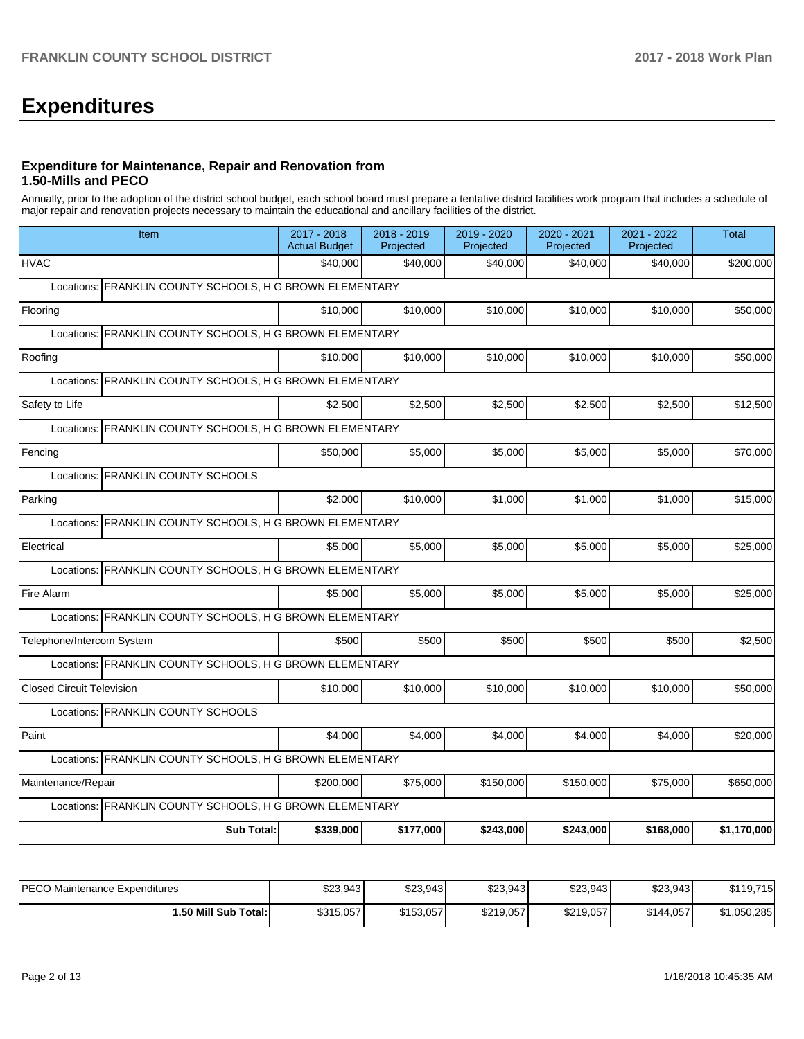# **Expenditures**

# **Expenditure for Maintenance, Repair and Renovation from 1.50-Mills and PECO**

Annually, prior to the adoption of the district school budget, each school board must prepare a tentative district facilities work program that includes a schedule of major repair and renovation projects necessary to maintain the educational and ancillary facilities of the district.

| Item                                                        | 2017 - 2018<br><b>Actual Budget</b>           | 2018 - 2019<br>Projected | 2019 - 2020<br>Projected | 2020 - 2021<br>Projected | 2021 - 2022<br>Projected | <b>Total</b> |  |  |  |  |
|-------------------------------------------------------------|-----------------------------------------------|--------------------------|--------------------------|--------------------------|--------------------------|--------------|--|--|--|--|
| <b>HVAC</b>                                                 | \$40,000                                      | \$40.000                 | \$40,000                 | \$40,000                 | \$40,000                 | \$200,000    |  |  |  |  |
| Locations: FRANKLIN COUNTY SCHOOLS, H G BROWN ELEMENTARY    |                                               |                          |                          |                          |                          |              |  |  |  |  |
| Flooring                                                    | \$10,000                                      | \$10,000                 | \$10,000                 | \$10,000                 | \$10,000                 | \$50,000     |  |  |  |  |
| Locations: FRANKLIN COUNTY SCHOOLS, H G BROWN ELEMENTARY    |                                               |                          |                          |                          |                          |              |  |  |  |  |
| Roofing                                                     | \$10,000                                      | \$10,000                 | \$10,000                 | \$10,000                 | \$10,000                 | \$50,000     |  |  |  |  |
| Locations:                                                  | FRANKLIN COUNTY SCHOOLS, H G BROWN ELEMENTARY |                          |                          |                          |                          |              |  |  |  |  |
| Safety to Life                                              | \$2,500                                       | \$2,500                  | \$2,500                  | \$2,500                  | \$2,500                  | \$12,500     |  |  |  |  |
| FRANKLIN COUNTY SCHOOLS, H G BROWN ELEMENTARY<br>Locations: |                                               |                          |                          |                          |                          |              |  |  |  |  |
| Fencing                                                     | \$50,000                                      | \$5,000                  | \$5,000                  | \$5,000                  | \$5,000                  | \$70,000     |  |  |  |  |
| Locations: FRANKLIN COUNTY SCHOOLS                          |                                               |                          |                          |                          |                          |              |  |  |  |  |
| Parking                                                     | \$2,000                                       | \$10,000                 | \$1,000                  | \$1,000                  | \$1,000                  | \$15,000     |  |  |  |  |
| Locations: FRANKLIN COUNTY SCHOOLS, H G BROWN ELEMENTARY    |                                               |                          |                          |                          |                          |              |  |  |  |  |
| Electrical                                                  | \$5,000                                       | \$5,000                  | \$5,000                  | \$5,000                  | \$5,000                  | \$25,000     |  |  |  |  |
| Locations:<br>FRANKLIN COUNTY SCHOOLS, H G BROWN ELEMENTARY |                                               |                          |                          |                          |                          |              |  |  |  |  |
| Fire Alarm                                                  | \$5,000                                       | \$5,000                  | \$5,000                  | \$5,000                  | \$5,000                  | \$25,000     |  |  |  |  |
| Locations: FRANKLIN COUNTY SCHOOLS, H G BROWN ELEMENTARY    |                                               |                          |                          |                          |                          |              |  |  |  |  |
| Telephone/Intercom System                                   | \$500                                         | \$500                    | \$500                    | \$500                    | \$500                    | \$2,500      |  |  |  |  |
| Locations: FRANKLIN COUNTY SCHOOLS, H G BROWN ELEMENTARY    |                                               |                          |                          |                          |                          |              |  |  |  |  |
| <b>Closed Circuit Television</b>                            | \$10,000                                      | \$10,000                 | \$10,000                 | \$10,000                 | \$10,000                 | \$50,000     |  |  |  |  |
| Locations: FRANKLIN COUNTY SCHOOLS                          |                                               |                          |                          |                          |                          |              |  |  |  |  |
| Paint                                                       | \$4,000                                       | \$4,000                  | \$4,000                  | \$4,000                  | \$4,000                  | \$20,000     |  |  |  |  |
| Locations: FRANKLIN COUNTY SCHOOLS, H G BROWN ELEMENTARY    |                                               |                          |                          |                          |                          |              |  |  |  |  |
| Maintenance/Repair                                          | \$200.000                                     | \$75,000                 | \$150,000                | \$150,000                | \$75,000                 | \$650,000    |  |  |  |  |
| Locations: FRANKLIN COUNTY SCHOOLS, H G BROWN ELEMENTARY    |                                               |                          |                          |                          |                          |              |  |  |  |  |
| <b>Sub Total:</b>                                           | \$339,000                                     | \$177,000                | \$243,000                | \$243,000                | \$168,000                | \$1,170,000  |  |  |  |  |

| <b>IPECO</b><br>) Maintenance Expenditures | \$23,943  | \$23,943  | \$23,943  | \$23,943  | \$23,943  | \$119,715   |
|--------------------------------------------|-----------|-----------|-----------|-----------|-----------|-------------|
| I.50 Mill Sub Total:İ                      | \$315,057 | \$153,057 | \$219,057 | \$219,057 | \$144,057 | \$1,050,285 |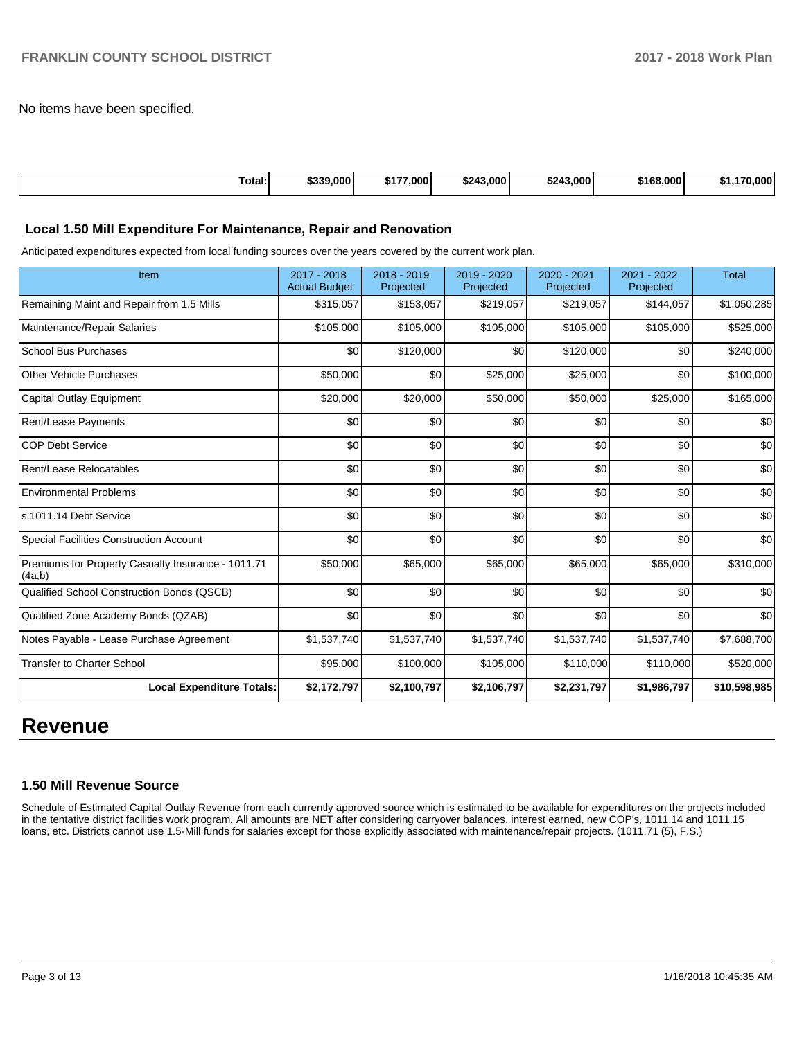No items have been specified.

| otal: | .).000'<br>0.000<br>-13-3-3- | .0001<br>. | .3.000'<br>\$243 | .000 <sub>1</sub><br>. .<br>\$24 | 168,000 | .000 |
|-------|------------------------------|------------|------------------|----------------------------------|---------|------|
|       |                              |            |                  |                                  |         |      |

#### **Local 1.50 Mill Expenditure For Maintenance, Repair and Renovation**

Anticipated expenditures expected from local funding sources over the years covered by the current work plan.

| Item                                                         | 2017 - 2018<br><b>Actual Budget</b> | 2018 - 2019<br>Projected | 2019 - 2020<br>Projected | 2020 - 2021<br>Projected | 2021 - 2022<br>Projected | <b>Total</b> |
|--------------------------------------------------------------|-------------------------------------|--------------------------|--------------------------|--------------------------|--------------------------|--------------|
| Remaining Maint and Repair from 1.5 Mills                    | \$315,057                           | \$153,057                | \$219,057                | \$219,057                | \$144,057                | \$1,050,285  |
| Maintenance/Repair Salaries                                  | \$105,000                           | \$105,000                | \$105,000                | \$105,000                | \$105,000                | \$525,000    |
| <b>School Bus Purchases</b>                                  | \$0                                 | \$120,000                | \$0                      | \$120,000                | \$0                      | \$240,000    |
| <b>Other Vehicle Purchases</b>                               | \$50,000                            | \$0                      | \$25,000                 | \$25,000                 | \$0                      | \$100,000    |
| <b>Capital Outlay Equipment</b>                              | \$20,000                            | \$20,000                 | \$50,000                 | \$50,000                 | \$25,000                 | \$165,000    |
| <b>Rent/Lease Payments</b>                                   | \$0                                 | \$0                      | \$0                      | \$0                      | \$0                      | \$0          |
| <b>COP Debt Service</b>                                      | \$0                                 | \$0                      | \$0                      | \$0                      | \$0                      | \$0          |
| Rent/Lease Relocatables                                      | \$0                                 | \$0                      | \$0                      | \$0                      | \$0                      | \$0          |
| <b>Environmental Problems</b>                                | \$0                                 | \$0                      | \$0                      | \$0                      | \$0                      | \$0          |
| s.1011.14 Debt Service                                       | \$0                                 | \$0                      | \$0                      | \$0                      | \$0                      | \$0          |
| <b>Special Facilities Construction Account</b>               | \$0                                 | \$0                      | \$0                      | \$0                      | \$0                      | \$0          |
| Premiums for Property Casualty Insurance - 1011.71<br>(4a,b) | \$50,000                            | \$65,000                 | \$65,000                 | \$65,000                 | \$65,000                 | \$310,000    |
| Qualified School Construction Bonds (QSCB)                   | \$0                                 | \$0                      | \$0                      | \$0                      | \$0                      | \$0          |
| Qualified Zone Academy Bonds (QZAB)                          | \$0                                 | \$0                      | \$0                      | \$0                      | \$0                      | \$0          |
| Notes Payable - Lease Purchase Agreement                     | \$1,537,740                         | \$1,537,740              | \$1,537,740              | \$1,537,740              | \$1,537,740              | \$7,688,700  |
| <b>Transfer to Charter School</b>                            | \$95,000                            | \$100,000                | \$105,000                | \$110,000                | \$110,000                | \$520,000    |
| <b>Local Expenditure Totals:</b>                             | \$2,172,797                         | \$2,100,797              | \$2,106,797              | \$2,231,797              | \$1,986,797              | \$10,598,985 |

# **Revenue**

### **1.50 Mill Revenue Source**

Schedule of Estimated Capital Outlay Revenue from each currently approved source which is estimated to be available for expenditures on the projects included in the tentative district facilities work program. All amounts are NET after considering carryover balances, interest earned, new COP's, 1011.14 and 1011.15 loans, etc. Districts cannot use 1.5-Mill funds for salaries except for those explicitly associated with maintenance/repair projects. (1011.71 (5), F.S.)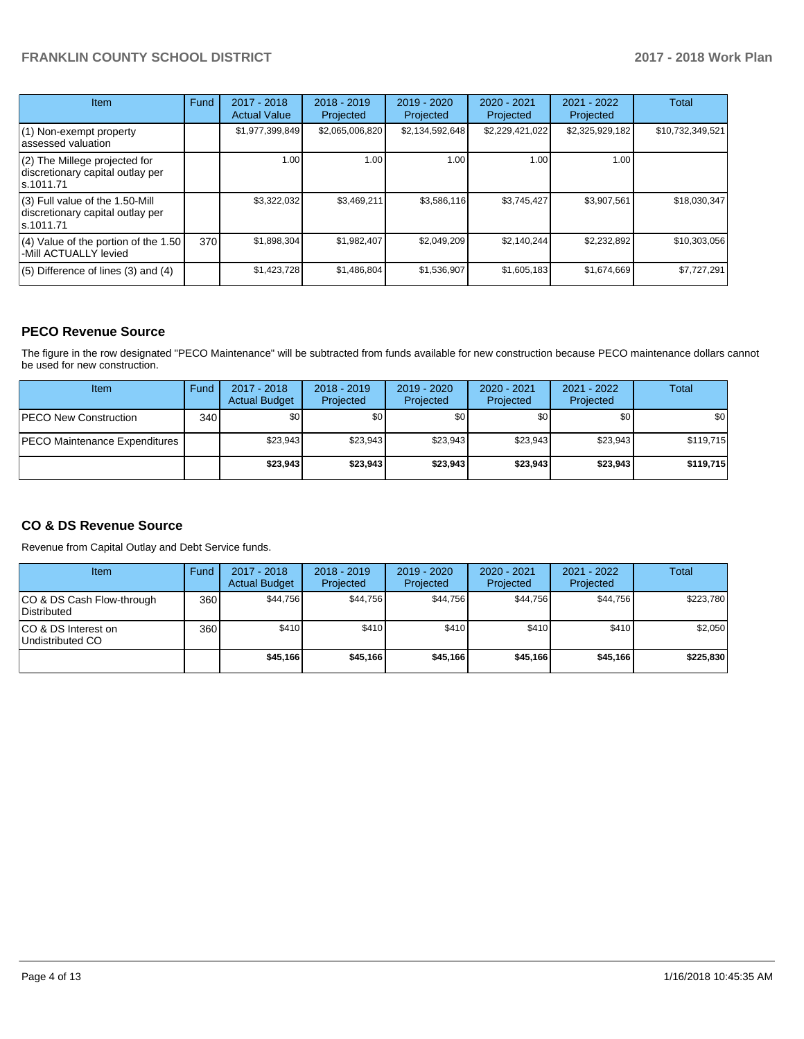# **FRANKLIN COUNTY SCHOOL DISTRICT 2017 - 2018 Work Plan**

| <b>Item</b>                                                                         | Fund | $2017 - 2018$<br><b>Actual Value</b> | $2018 - 2019$<br>Projected | 2019 - 2020<br>Projected | $2020 - 2021$<br>Projected | $2021 - 2022$<br>Projected | <b>Total</b>     |
|-------------------------------------------------------------------------------------|------|--------------------------------------|----------------------------|--------------------------|----------------------------|----------------------------|------------------|
| $(1)$ Non-exempt property<br>lassessed valuation                                    |      | \$1,977,399,849                      | \$2,065,006,820            | \$2,134,592,648          | \$2,229,421,022            | \$2,325,929,182            | \$10,732,349,521 |
| $(2)$ The Millege projected for<br>discretionary capital outlay per<br>ls.1011.71   |      | 1.00                                 | 1.00                       | 1.00                     | 1.00                       | 1.00                       |                  |
| $(3)$ Full value of the 1.50-Mill<br>discretionary capital outlay per<br>ls.1011.71 |      | \$3,322,032                          | \$3,469,211                | \$3,586,116              | \$3,745,427                | \$3,907,561                | \$18,030,347     |
| $(4)$ Value of the portion of the 1.50<br>-Mill ACTUALLY levied                     | 370  | \$1,898,304                          | \$1,982,407                | \$2,049,209              | \$2,140,244                | \$2,232,892                | \$10,303,056     |
| $(5)$ Difference of lines (3) and (4)                                               |      | \$1,423,728                          | \$1,486,804                | \$1,536,907              | \$1,605,183                | \$1,674,669                | \$7,727,291      |

# **PECO Revenue Source**

The figure in the row designated "PECO Maintenance" will be subtracted from funds available for new construction because PECO maintenance dollars cannot be used for new construction.

| Item                          | Fund             | $2017 - 2018$<br><b>Actual Budget</b> | $2018 - 2019$<br>Projected | 2019 - 2020<br>Projected | $2020 - 2021$<br>Projected | 2021 - 2022<br>Projected | <b>Total</b> |
|-------------------------------|------------------|---------------------------------------|----------------------------|--------------------------|----------------------------|--------------------------|--------------|
| <b>IPECO New Construction</b> | 340 <sup>1</sup> | \$0 <sub>1</sub>                      | \$0                        | \$0                      | \$0                        | \$0                      | <b>\$01</b>  |
| PECO Maintenance Expenditures |                  | \$23,943                              | \$23,943                   | \$23,943                 | \$23,943                   | \$23,943                 | \$119,715    |
|                               |                  | \$23,943                              | \$23,943                   | \$23,943                 | \$23,943                   | \$23.943                 | \$119,715    |

# **CO & DS Revenue Source**

Revenue from Capital Outlay and Debt Service funds.

| <b>Item</b>                              | Fund | $2017 - 2018$<br><b>Actual Budget</b> | $2018 - 2019$<br>Projected | 2019 - 2020<br>Projected | $2020 - 2021$<br>Projected | $2021 - 2022$<br>Projected | Total     |
|------------------------------------------|------|---------------------------------------|----------------------------|--------------------------|----------------------------|----------------------------|-----------|
| CO & DS Cash Flow-through<br>Distributed | 360  | \$44.756                              | \$44,756                   | \$44.756                 | \$44.756                   | \$44.756                   | \$223.780 |
| ICO & DS Interest on<br>Undistributed CO | 360  | \$410                                 | \$410                      | \$410                    | \$410                      | \$410                      | \$2,050   |
|                                          |      | \$45,166                              | \$45.166                   | \$45.166                 | \$45.166                   | \$45.166                   | \$225,830 |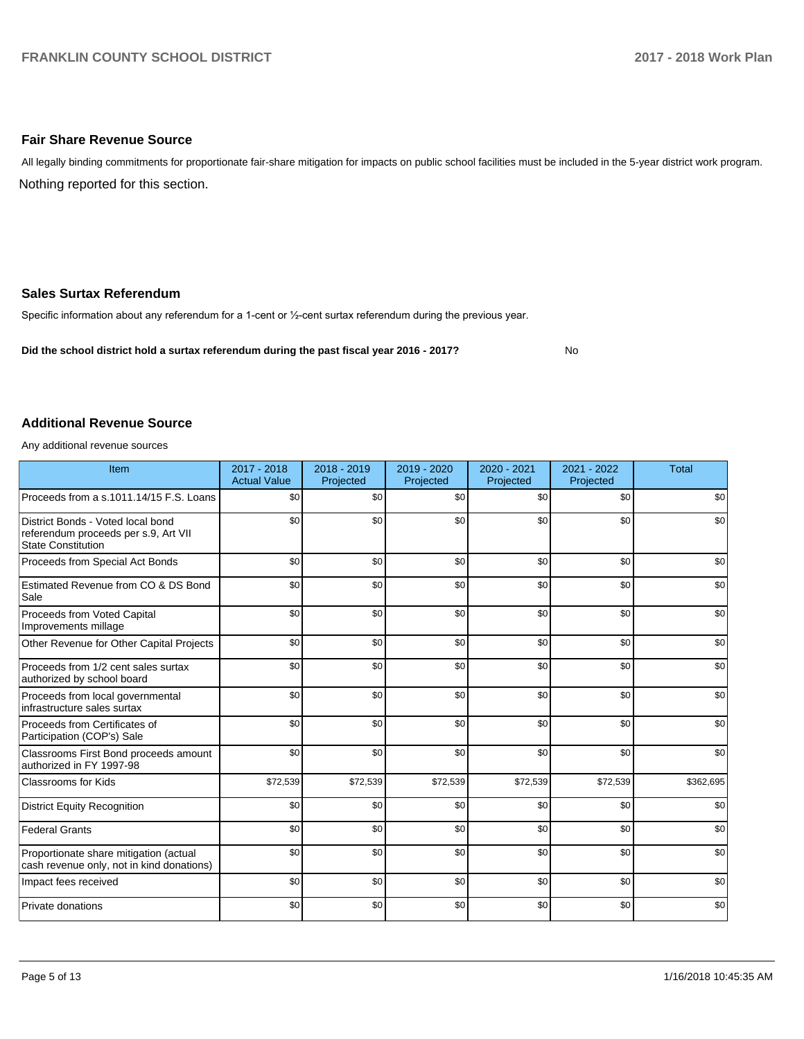## **Fair Share Revenue Source**

Nothing reported for this section. All legally binding commitments for proportionate fair-share mitigation for impacts on public school facilities must be included in the 5-year district work program.

### **Sales Surtax Referendum**

Specific information about any referendum for a 1-cent or 1/2-cent surtax referendum during the previous year.

**Did the school district hold a surtax referendum during the past fiscal year 2016 - 2017?**

No

## **Additional Revenue Source**

Any additional revenue sources

| Item                                                                                                   | $2017 - 2018$<br><b>Actual Value</b> | $2018 - 2019$<br>Projected | 2019 - 2020<br>Projected | 2020 - 2021<br>Projected | 2021 - 2022<br>Projected | <b>Total</b> |
|--------------------------------------------------------------------------------------------------------|--------------------------------------|----------------------------|--------------------------|--------------------------|--------------------------|--------------|
| Proceeds from a s.1011.14/15 F.S. Loans                                                                | \$0                                  | \$0                        | \$0                      | \$0                      | \$0                      | \$0          |
| District Bonds - Voted local bond<br>referendum proceeds per s.9, Art VII<br><b>State Constitution</b> | \$0                                  | \$0                        | \$0                      | \$0                      | \$0                      | \$0          |
| Proceeds from Special Act Bonds                                                                        | \$0                                  | \$0                        | \$0                      | \$0                      | \$0                      | \$0          |
| Estimated Revenue from CO & DS Bond<br>Sale                                                            | \$0                                  | \$0                        | \$0                      | \$0                      | \$0                      | \$0          |
| Proceeds from Voted Capital<br>Improvements millage                                                    | \$0                                  | \$0                        | \$0                      | \$0                      | \$0                      | \$0          |
| Other Revenue for Other Capital Projects                                                               | \$0                                  | \$0                        | \$0                      | \$0                      | \$0                      | \$0          |
| Proceeds from 1/2 cent sales surtax<br>authorized by school board                                      | \$0                                  | \$0                        | \$0                      | \$0                      | \$0                      | \$0          |
| Proceeds from local governmental<br>infrastructure sales surtax                                        | \$0                                  | \$0                        | \$0                      | \$0                      | \$0                      | \$0          |
| Proceeds from Certificates of<br>Participation (COP's) Sale                                            | \$0                                  | \$0                        | \$0                      | \$0                      | \$0                      | \$0          |
| Classrooms First Bond proceeds amount<br>authorized in FY 1997-98                                      | \$0                                  | \$0                        | \$0                      | \$0                      | \$0                      | \$0          |
| <b>Classrooms for Kids</b>                                                                             | \$72,539                             | \$72,539                   | \$72,539                 | \$72,539                 | \$72,539                 | \$362,695    |
| <b>District Equity Recognition</b>                                                                     | \$0                                  | \$0                        | \$0                      | \$0                      | \$0                      | \$0          |
| <b>Federal Grants</b>                                                                                  | \$0                                  | \$0                        | \$0                      | \$0                      | \$0                      | \$0          |
| Proportionate share mitigation (actual<br>cash revenue only, not in kind donations)                    | \$0                                  | \$0                        | \$0                      | \$0                      | \$0                      | \$0          |
| Impact fees received                                                                                   | \$0                                  | \$0                        | \$0                      | \$0                      | \$0                      | \$0          |
| Private donations                                                                                      | \$0                                  | \$0                        | \$0                      | \$0                      | \$0                      | \$0          |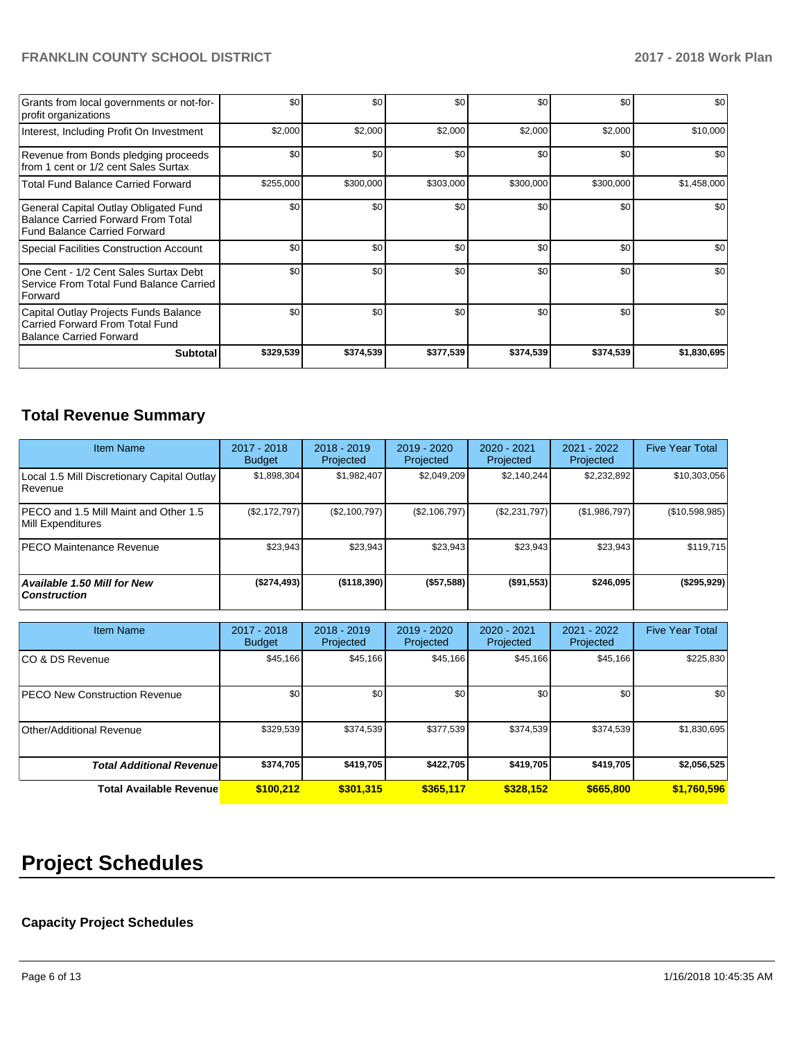# **FRANKLIN COUNTY SCHOOL DISTRICT 2017 - 2018 Work Plan**

| Grants from local governments or not-for-<br>profit organizations                                                         | \$0       | \$0       | \$0       | \$0       | \$0       | \$0         |
|---------------------------------------------------------------------------------------------------------------------------|-----------|-----------|-----------|-----------|-----------|-------------|
| Interest, Including Profit On Investment                                                                                  | \$2,000   | \$2,000   | \$2,000   | \$2,000   | \$2,000   | \$10,000    |
| Revenue from Bonds pledging proceeds<br>from 1 cent or 1/2 cent Sales Surtax                                              | \$0       | \$0       | \$0       | \$0       | \$0       | \$0         |
| <b>Total Fund Balance Carried Forward</b>                                                                                 | \$255,000 | \$300,000 | \$303,000 | \$300,000 | \$300,000 | \$1,458,000 |
| General Capital Outlay Obligated Fund<br><b>Balance Carried Forward From Total</b><br><b>Fund Balance Carried Forward</b> | \$0       | \$0       | \$0       | \$0       | \$0       | \$0         |
| <b>Special Facilities Construction Account</b>                                                                            | \$0       | \$0       | \$0       | \$0       | \$0       | \$0         |
| One Cent - 1/2 Cent Sales Surtax Debt<br>Service From Total Fund Balance Carried<br>Forward                               | \$0       | \$0       | \$0       | \$0       | \$0       | \$0         |
| Capital Outlay Projects Funds Balance<br>Carried Forward From Total Fund<br>Balance Carried Forward                       | \$0       | \$0       | \$0       | \$0       | \$0       | \$0         |
| <b>Subtotal</b>                                                                                                           | \$329,539 | \$374,539 | \$377,539 | \$374,539 | \$374,539 | \$1,830,695 |

# **Total Revenue Summary**

| <b>Item Name</b>                                              | 2017 - 2018<br><b>Budget</b> | $2018 - 2019$<br>Projected | 2019 - 2020<br>Projected | 2020 - 2021<br>Projected | 2021 - 2022<br>Projected | <b>Five Year Total</b> |
|---------------------------------------------------------------|------------------------------|----------------------------|--------------------------|--------------------------|--------------------------|------------------------|
| Local 1.5 Mill Discretionary Capital Outlay<br><b>Revenue</b> | \$1,898,304                  | \$1,982,407                | \$2,049,209              | \$2,140,244              | \$2,232,892              | \$10,303,056           |
| PECO and 1.5 Mill Maint and Other 1.5<br>Mill Expenditures    | (\$2,172,797)                | (\$2,100,797)              | (\$2,106,797)            | (\$2,231,797)            | (\$1,986,797)            | (\$10,598,985)         |
| <b>IPECO Maintenance Revenue</b>                              | \$23,943                     | \$23,943                   | \$23,943                 | \$23,943                 | \$23,943                 | \$119,715              |
| <b>Available 1.50 Mill for New</b><br><b>Construction</b>     | (\$274,493)                  | ( \$118, 390)              | (\$57,588)               | ( \$91, 553)             | \$246,095                | (\$295,929)            |

| <b>Item Name</b>                      | 2017 - 2018<br><b>Budget</b> | $2018 - 2019$<br>Projected | 2019 - 2020<br>Projected | 2020 - 2021<br>Projected | 2021 - 2022<br>Projected | <b>Five Year Total</b> |
|---------------------------------------|------------------------------|----------------------------|--------------------------|--------------------------|--------------------------|------------------------|
| ICO & DS Revenue                      | \$45,166                     | \$45,166                   | \$45,166                 | \$45,166                 | \$45,166                 | \$225,830              |
| <b>IPECO New Construction Revenue</b> | \$0                          | \$0                        | \$0                      | \$0                      | \$0                      | \$0                    |
| Other/Additional Revenue              | \$329,539                    | \$374,539                  | \$377,539                | \$374,539                | \$374,539                | \$1,830,695            |
| <b>Total Additional Revenuel</b>      | \$374,705                    | \$419,705                  | \$422,705                | \$419,705                | \$419,705                | \$2,056,525            |
| <b>Total Available Revenue</b>        | \$100.212                    | \$301,315                  | \$365.117                | \$328.152                | \$665,800                | \$1,760,596            |

# **Project Schedules**

# **Capacity Project Schedules**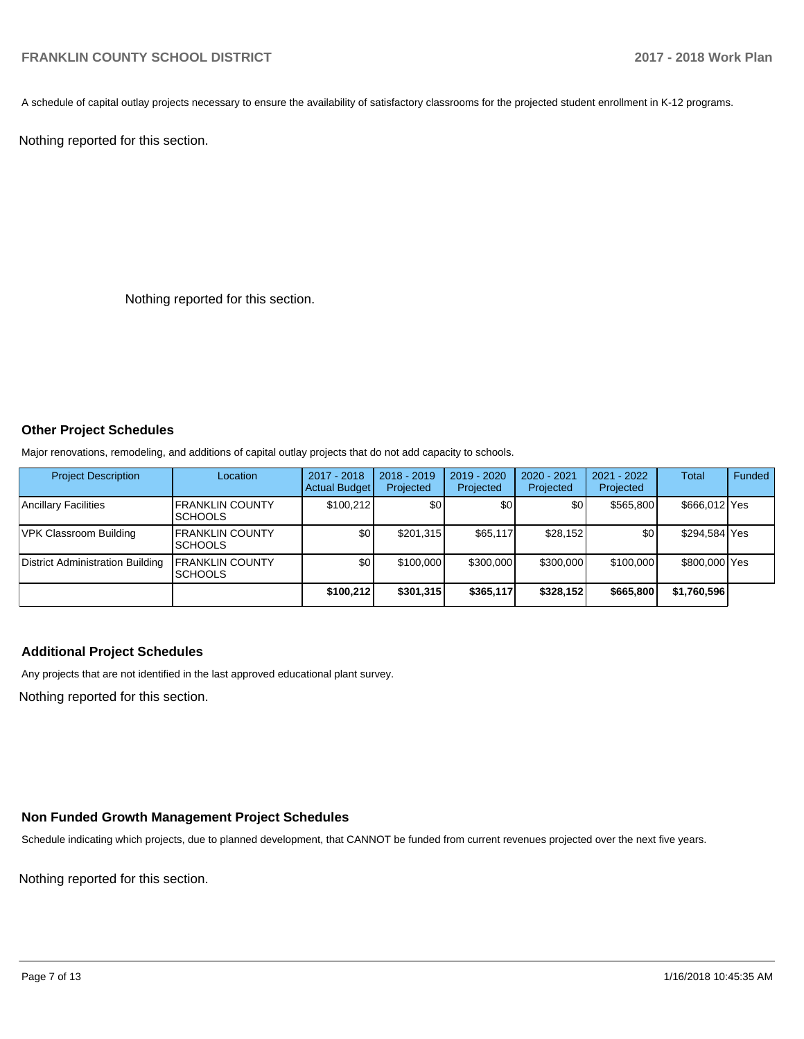A schedule of capital outlay projects necessary to ensure the availability of satisfactory classrooms for the projected student enrollment in K-12 programs.

Nothing reported for this section.

Nothing reported for this section.

#### **Other Project Schedules**

Major renovations, remodeling, and additions of capital outlay projects that do not add capacity to schools.

| <b>Project Description</b>       | Location                                  | 2017 - 2018<br><b>Actual Budget</b> | 2018 - 2019<br>Projected | 2019 - 2020<br>Projected | 2020 - 2021<br>Projected | 2021 - 2022<br>Projected | Total         | Funded |
|----------------------------------|-------------------------------------------|-------------------------------------|--------------------------|--------------------------|--------------------------|--------------------------|---------------|--------|
| Ancillary Facilities             | <b>FRANKLIN COUNTY</b><br><b>ISCHOOLS</b> | \$100,212                           | \$0                      | \$0                      | ا 30                     | \$565,800                | \$666,012 Yes |        |
| VPK Classroom Building           | <b>FRANKLIN COUNTY</b><br><b>ISCHOOLS</b> | \$0                                 | \$201,315                | \$65,117                 | \$28,152                 | \$0                      | \$294,584 Yes |        |
| District Administration Building | <b>FRANKLIN COUNTY</b><br><b>SCHOOLS</b>  | \$0                                 | \$100,000                | \$300,000                | \$300,000                | \$100,000                | \$800,000 Yes |        |
|                                  |                                           | \$100.212                           | \$301,315                | \$365,117                | \$328.152                | \$665,800                | \$1,760,596   |        |

### **Additional Project Schedules**

Any projects that are not identified in the last approved educational plant survey.

Nothing reported for this section.

### **Non Funded Growth Management Project Schedules**

Schedule indicating which projects, due to planned development, that CANNOT be funded from current revenues projected over the next five years.

Nothing reported for this section.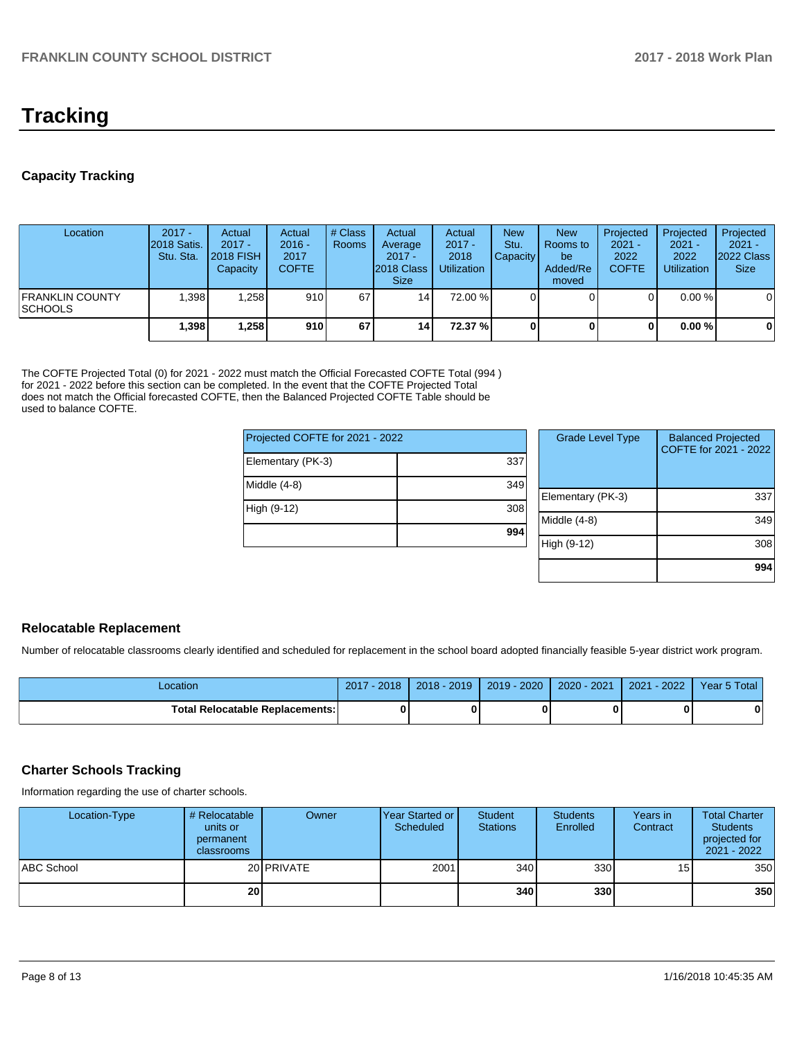# **Tracking**

# **Capacity Tracking**

| Location                                  | $2017 -$<br>2018 Satis.<br>Stu. Sta. | Actual<br>$2017 -$<br><b>2018 FISH</b><br>Capacity | Actual<br>$2016 -$<br>2017<br><b>COFTE</b> | # Class<br>Rooms | Actual<br>Average<br>$2017 -$<br>2018 Class<br><b>Size</b> | Actual<br>$2017 -$<br>2018<br><b>Utilization</b> | <b>New</b><br>Stu.<br><b>Capacity</b> | <b>New</b><br>Rooms to<br>be<br>Added/Re<br>moved | Projected<br>$2021 -$<br>2022<br><b>COFTE</b> | Projected<br>$2021 -$<br>2022<br><b>Utilization</b> | Projected<br>$2021 -$<br>2022 Class<br><b>Size</b> |
|-------------------------------------------|--------------------------------------|----------------------------------------------------|--------------------------------------------|------------------|------------------------------------------------------------|--------------------------------------------------|---------------------------------------|---------------------------------------------------|-----------------------------------------------|-----------------------------------------------------|----------------------------------------------------|
| <b>IFRANKLIN COUNTY</b><br><b>SCHOOLS</b> | .398                                 | .258                                               | 910                                        | 67               | 14                                                         | 72.00 %                                          |                                       |                                                   |                                               | 0.00%                                               | $\Omega$                                           |
|                                           | 398                                  | 1,258                                              | 910                                        | 67               | 14                                                         | 72.37 %                                          | 0                                     |                                                   | 0                                             | 0.00%                                               | 0                                                  |

The COFTE Projected Total (0) for 2021 - 2022 must match the Official Forecasted COFTE Total (994 ) for 2021 - 2022 before this section can be completed. In the event that the COFTE Projected Total does not match the Official forecasted COFTE, then the Balanced Projected COFTE Table should be used to balance COFTE.

| Projected COFTE for 2021 - 2022 |     |  |     |  |  |
|---------------------------------|-----|--|-----|--|--|
| Elementary (PK-3)               | 337 |  |     |  |  |
| Middle (4-8)                    | 349 |  | Ele |  |  |
| High (9-12)                     | 308 |  | Mic |  |  |
|                                 | 994 |  | Hig |  |  |

| <b>Grade Level Type</b> | <b>Balanced Projected</b><br>COFTE for 2021 - 2022 |
|-------------------------|----------------------------------------------------|
| Elementary (PK-3)       | 337                                                |
| Middle (4-8)            | 349                                                |
| High (9-12)             | 308                                                |
|                         | 99,                                                |

# **Relocatable Replacement**

Number of relocatable classrooms clearly identified and scheduled for replacement in the school board adopted financially feasible 5-year district work program.

| Location                               | 2017<br>$^{\prime}$ - 2018. | 2018 - 2019 | 2019 - 2020 | 2020 - 2021 | $-2022$<br>2021 | Year 5 Total |
|----------------------------------------|-----------------------------|-------------|-------------|-------------|-----------------|--------------|
| <b>Total Relocatable Replacements:</b> |                             |             |             |             |                 | 0            |

# **Charter Schools Tracking**

Information regarding the use of charter schools.

| Location-Type | # Relocatable<br>units or<br>permanent<br>classrooms | Owner      | Year Started or  <br>Scheduled | <b>Student</b><br><b>Stations</b> | <b>Students</b><br>Enrolled | Years in<br>Contract | <b>Total Charter</b><br><b>Students</b><br>projected for<br>2021 - 2022 |
|---------------|------------------------------------------------------|------------|--------------------------------|-----------------------------------|-----------------------------|----------------------|-------------------------------------------------------------------------|
| ABC School    |                                                      | 20 PRIVATE | 2001                           | 340 <sup>1</sup>                  | 330                         | 15                   | 350                                                                     |
|               | 20 <sup>1</sup>                                      |            |                                | 340                               | 330                         |                      | 350                                                                     |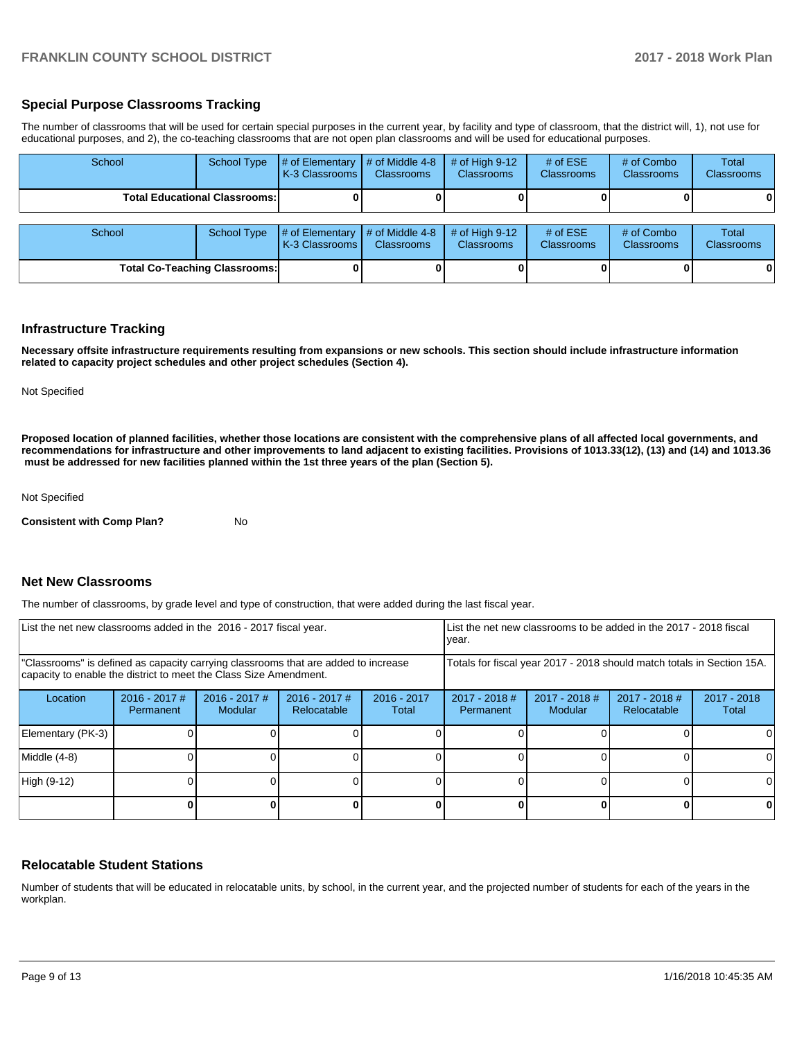# **Special Purpose Classrooms Tracking**

The number of classrooms that will be used for certain special purposes in the current year, by facility and type of classroom, that the district will, 1), not use for educational purposes, and 2), the co-teaching classrooms that are not open plan classrooms and will be used for educational purposes.

| School                               | <b>School Type</b> | # of Elementary<br>K-3 Classrooms | # of Middle 4-8<br><b>Classrooms</b> | # of High $9-12$<br><b>Classrooms</b> | # of $ESE$<br><b>Classrooms</b> | # of Combo<br><b>Classrooms</b> | Total<br>Classrooms |
|--------------------------------------|--------------------|-----------------------------------|--------------------------------------|---------------------------------------|---------------------------------|---------------------------------|---------------------|
| <b>Total Educational Classrooms:</b> |                    |                                   |                                      |                                       |                                 |                                 | 0                   |
| School                               | <b>School Type</b> | # of Elementary<br>K-3 Classrooms | # of Middle 4-8<br><b>Classrooms</b> | # of High $9-12$<br><b>Classrooms</b> | # of $ESE$<br><b>Classrooms</b> | # of Combo<br><b>Classrooms</b> | Total<br>Classrooms |
| <b>Total Co-Teaching Classrooms:</b> |                    |                                   |                                      |                                       |                                 |                                 | 0                   |

#### **Infrastructure Tracking**

**Necessary offsite infrastructure requirements resulting from expansions or new schools. This section should include infrastructure information related to capacity project schedules and other project schedules (Section 4).** 

Not Specified

**Proposed location of planned facilities, whether those locations are consistent with the comprehensive plans of all affected local governments, and recommendations for infrastructure and other improvements to land adjacent to existing facilities. Provisions of 1013.33(12), (13) and (14) and 1013.36 must be addressed for new facilities planned within the 1st three years of the plan (Section 5).** 

Not Specified

**Consistent with Comp Plan?** No

### **Net New Classrooms**

The number of classrooms, by grade level and type of construction, that were added during the last fiscal year.

| List the net new classrooms added in the 2016 - 2017 fiscal year. |                                                                                                                                                         |                            | List the net new classrooms to be added in the 2017 - 2018 fiscal<br>year. |                        |                                                                        |                          |                              |                      |  |
|-------------------------------------------------------------------|---------------------------------------------------------------------------------------------------------------------------------------------------------|----------------------------|----------------------------------------------------------------------------|------------------------|------------------------------------------------------------------------|--------------------------|------------------------------|----------------------|--|
|                                                                   | "Classrooms" is defined as capacity carrying classrooms that are added to increase<br>capacity to enable the district to meet the Class Size Amendment. |                            |                                                                            |                        | Totals for fiscal year 2017 - 2018 should match totals in Section 15A. |                          |                              |                      |  |
| Location                                                          | $2016 - 2017$ #<br>Permanent                                                                                                                            | $2016 - 2017$ #<br>Modular | $2016 - 2017$ #<br>Relocatable                                             | $2016 - 2017$<br>Total | $2017 - 2018$ #<br><b>Permanent</b>                                    | 2017 - 2018 #<br>Modular | 2017 - 2018 #<br>Relocatable | 2017 - 2018<br>Total |  |
| Elementary (PK-3)                                                 |                                                                                                                                                         |                            |                                                                            |                        |                                                                        |                          |                              |                      |  |
| Middle (4-8)                                                      |                                                                                                                                                         |                            |                                                                            |                        |                                                                        |                          |                              |                      |  |
| High (9-12)                                                       |                                                                                                                                                         |                            |                                                                            |                        |                                                                        |                          |                              |                      |  |
|                                                                   |                                                                                                                                                         |                            |                                                                            |                        |                                                                        |                          |                              |                      |  |

#### **Relocatable Student Stations**

Number of students that will be educated in relocatable units, by school, in the current year, and the projected number of students for each of the years in the workplan.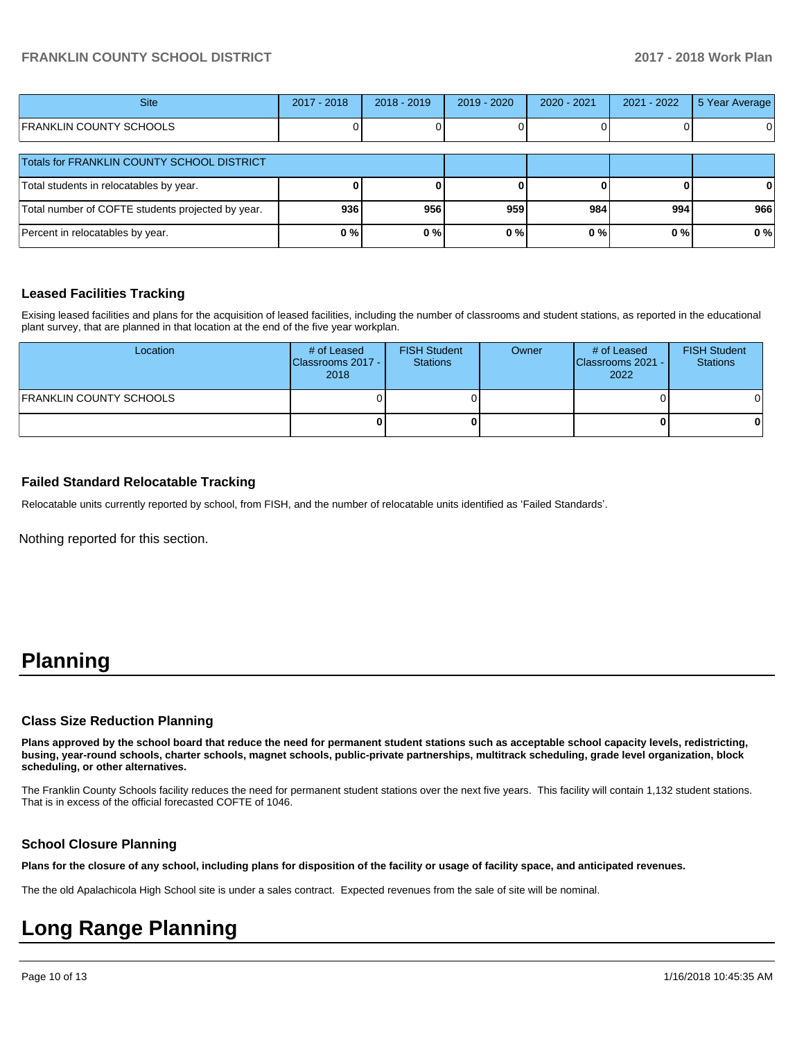# **FRANKLIN COUNTY SCHOOL DISTRICT 2017 - 2018 Work Plan**

| <b>Site</b>                                       | 2017 - 2018 | $2018 - 2019$ | 2019 - 2020 | $2020 - 2021$ | $2021 - 2022$ | 5 Year Average |
|---------------------------------------------------|-------------|---------------|-------------|---------------|---------------|----------------|
| <b>FRANKLIN COUNTY SCHOOLS</b>                    |             |               |             |               |               |                |
| Totals for FRANKLIN COUNTY SCHOOL DISTRICT        |             |               |             |               |               |                |
| Total students in relocatables by year.           |             |               |             |               |               | 0              |
| Total number of COFTE students projected by year. | 936         | 956           | 959         | 984           | 994           | 966            |
| Percent in relocatables by year.                  | 0%          | 0%            | 0%          | 0%            | 0%            | 0%             |

# **Leased Facilities Tracking**

Exising leased facilities and plans for the acquisition of leased facilities, including the number of classrooms and student stations, as reported in the educational plant survey, that are planned in that location at the end of the five year workplan.

| Location                       | # of Leased<br>Classrooms 2017 -<br>2018 | <b>FISH Student</b><br><b>Stations</b> | Owner | # of Leased<br>Classrooms 2021 -<br>2022 | <b>FISH Student</b><br><b>Stations</b> |
|--------------------------------|------------------------------------------|----------------------------------------|-------|------------------------------------------|----------------------------------------|
| <b>FRANKLIN COUNTY SCHOOLS</b> |                                          |                                        |       |                                          |                                        |
|                                | U.                                       |                                        |       | υ                                        | 01                                     |

## **Failed Standard Relocatable Tracking**

Relocatable units currently reported by school, from FISH, and the number of relocatable units identified as 'Failed Standards'.

Nothing reported for this section.

# **Planning**

#### **Class Size Reduction Planning**

**Plans approved by the school board that reduce the need for permanent student stations such as acceptable school capacity levels, redistricting, busing, year-round schools, charter schools, magnet schools, public-private partnerships, multitrack scheduling, grade level organization, block scheduling, or other alternatives.**

The Franklin County Schools facility reduces the need for permanent student stations over the next five years. This facility will contain 1,132 student stations. That is in excess of the official forecasted COFTE of 1046.

#### **School Closure Planning**

**Plans for the closure of any school, including plans for disposition of the facility or usage of facility space, and anticipated revenues.** 

The the old Apalachicola High School site is under a sales contract. Expected revenues from the sale of site will be nominal.

# **Long Range Planning**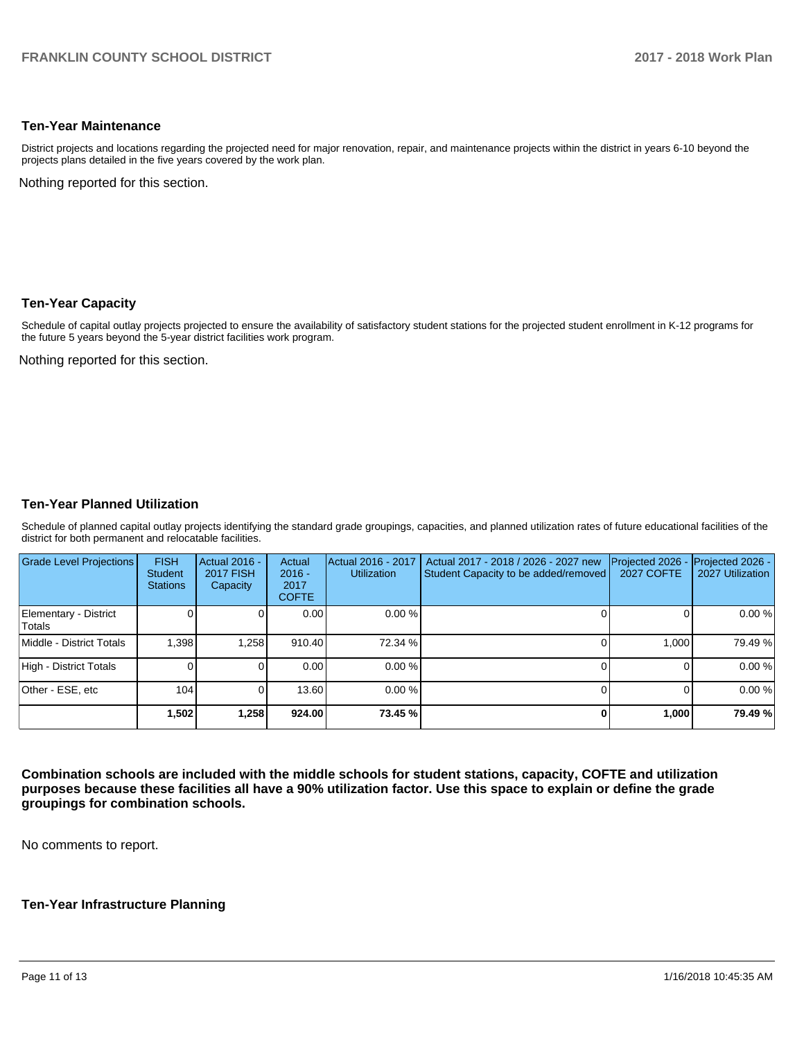# **Ten-Year Maintenance**

District projects and locations regarding the projected need for major renovation, repair, and maintenance projects within the district in years 6-10 beyond the projects plans detailed in the five years covered by the work plan.

Nothing reported for this section.

## **Ten-Year Capacity**

Schedule of capital outlay projects projected to ensure the availability of satisfactory student stations for the projected student enrollment in K-12 programs for the future 5 years beyond the 5-year district facilities work program.

Nothing reported for this section.

#### **Ten-Year Planned Utilization**

Schedule of planned capital outlay projects identifying the standard grade groupings, capacities, and planned utilization rates of future educational facilities of the district for both permanent and relocatable facilities.

| <b>Grade Level Projections</b>  | <b>FISH</b><br><b>Student</b><br><b>Stations</b> | Actual 2016 -<br><b>2017 FISH</b><br>Capacity | Actual<br>$2016 -$<br>2017<br><b>COFTE</b> | Actual 2016 - 2017<br><b>Utilization</b> | Actual 2017 - 2018 / 2026 - 2027 new<br>Student Capacity to be added/removed | Projected 2026<br><b>2027 COFTE</b> | Projected 2026 -<br>2027 Utilization |
|---------------------------------|--------------------------------------------------|-----------------------------------------------|--------------------------------------------|------------------------------------------|------------------------------------------------------------------------------|-------------------------------------|--------------------------------------|
| Elementary - District<br>Totals |                                                  |                                               | 0.00                                       | 0.00%                                    |                                                                              |                                     | 0.00%                                |
| Middle - District Totals        | 1.398                                            | 1,258                                         | 910.40                                     | 72.34 %                                  |                                                                              | 1.000                               | 79.49 %                              |
| High - District Totals          |                                                  |                                               | 0.00                                       | 0.00%                                    |                                                                              |                                     | 0.00 %                               |
| Other - ESE, etc                | 104                                              |                                               | 13.60                                      | 0.00%                                    |                                                                              |                                     | 0.00 %                               |
|                                 | 1,502                                            | 1,258                                         | 924.00                                     | 73.45 %                                  |                                                                              | 1,000                               | 79.49 %                              |

**Combination schools are included with the middle schools for student stations, capacity, COFTE and utilization purposes because these facilities all have a 90% utilization factor. Use this space to explain or define the grade groupings for combination schools.** 

No comments to report.

### **Ten-Year Infrastructure Planning**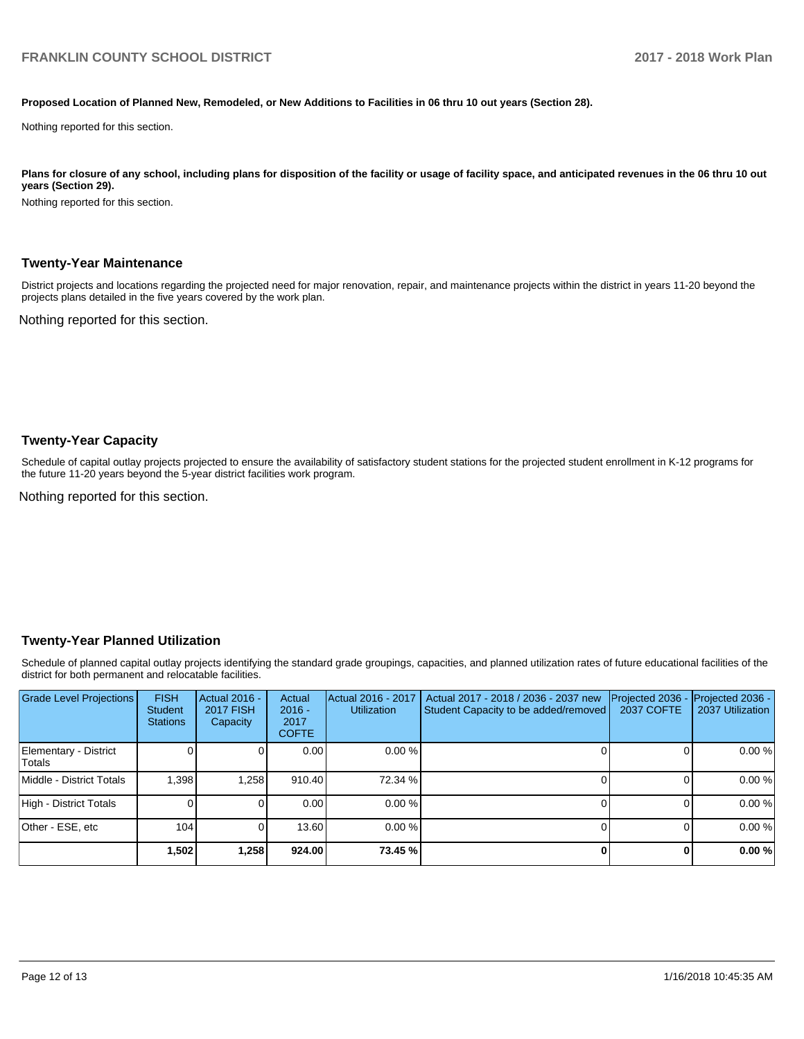#### **Proposed Location of Planned New, Remodeled, or New Additions to Facilities in 06 thru 10 out years (Section 28).**

Nothing reported for this section.

Plans for closure of any school, including plans for disposition of the facility or usage of facility space, and anticipated revenues in the 06 thru 10 out **years (Section 29).**

Nothing reported for this section.

#### **Twenty-Year Maintenance**

District projects and locations regarding the projected need for major renovation, repair, and maintenance projects within the district in years 11-20 beyond the projects plans detailed in the five years covered by the work plan.

Nothing reported for this section.

#### **Twenty-Year Capacity**

Schedule of capital outlay projects projected to ensure the availability of satisfactory student stations for the projected student enrollment in K-12 programs for the future 11-20 years beyond the 5-year district facilities work program.

Nothing reported for this section.

#### **Twenty-Year Planned Utilization**

Schedule of planned capital outlay projects identifying the standard grade groupings, capacities, and planned utilization rates of future educational facilities of the district for both permanent and relocatable facilities.

| <b>Grade Level Projections</b>   | <b>FISH</b><br><b>Student</b><br><b>Stations</b> | <b>Actual 2016 -</b><br><b>2017 FISH</b><br>Capacity | Actual<br>$2016 -$<br>2017<br><b>COFTE</b> | Actual 2016 - 2017<br><b>Utilization</b> | Actual 2017 - 2018 / 2036 - 2037 new<br>Student Capacity to be added/removed | Projected 2036<br><b>2037 COFTE</b> | Projected 2036 -<br>2037 Utilization |
|----------------------------------|--------------------------------------------------|------------------------------------------------------|--------------------------------------------|------------------------------------------|------------------------------------------------------------------------------|-------------------------------------|--------------------------------------|
| Elementary - District<br> Totals |                                                  |                                                      | 0.00                                       | 0.00%                                    |                                                                              |                                     | 0.00%                                |
| Middle - District Totals         | 1.398                                            | 1.258                                                | 910.40                                     | 72.34 %                                  |                                                                              |                                     | 0.00%                                |
| High - District Totals           |                                                  |                                                      | 0.00                                       | 0.00%                                    |                                                                              |                                     | 0.00%                                |
| Other - ESE, etc                 | 104                                              |                                                      | 13.60                                      | $0.00 \%$                                |                                                                              |                                     | 0.00%                                |
|                                  | 1,502                                            | 1,258                                                | 924.00                                     | 73.45 %                                  |                                                                              |                                     | 0.00%                                |